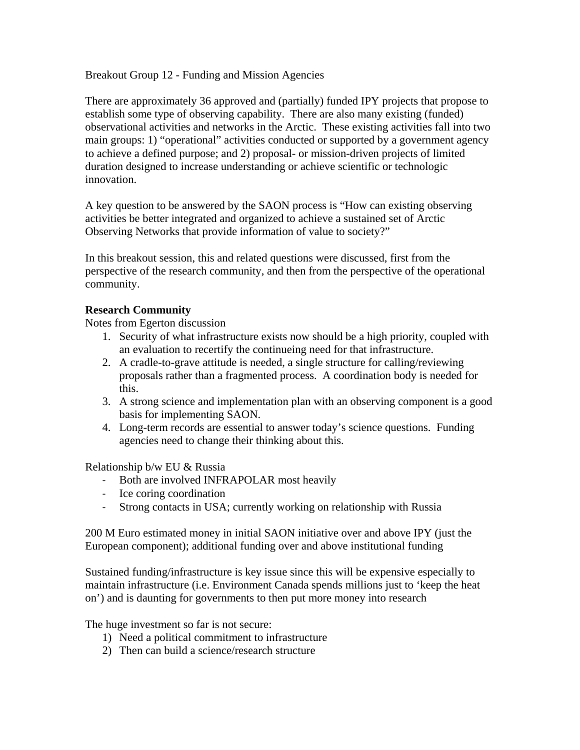Breakout Group 12 - Funding and Mission Agencies

There are approximately 36 approved and (partially) funded IPY projects that propose to establish some type of observing capability. There are also many existing (funded) observational activities and networks in the Arctic. These existing activities fall into two main groups: 1) "operational" activities conducted or supported by a government agency to achieve a defined purpose; and 2) proposal- or mission-driven projects of limited duration designed to increase understanding or achieve scientific or technologic innovation.

A key question to be answered by the SAON process is "How can existing observing activities be better integrated and organized to achieve a sustained set of Arctic Observing Networks that provide information of value to society?"

In this breakout session, this and related questions were discussed, first from the perspective of the research community, and then from the perspective of the operational community.

## **Research Community**

Notes from Egerton discussion

- 1. Security of what infrastructure exists now should be a high priority, coupled with an evaluation to recertify the continueing need for that infrastructure.
- 2. A cradle-to-grave attitude is needed, a single structure for calling/reviewing proposals rather than a fragmented process. A coordination body is needed for this.
- 3. A strong science and implementation plan with an observing component is a good basis for implementing SAON.
- 4. Long-term records are essential to answer today's science questions. Funding agencies need to change their thinking about this.

Relationship b/w EU & Russia

- ‐ Both are involved INFRAPOLAR most heavily
- ‐ Ice coring coordination
- ‐ Strong contacts in USA; currently working on relationship with Russia

200 M Euro estimated money in initial SAON initiative over and above IPY (just the European component); additional funding over and above institutional funding

Sustained funding/infrastructure is key issue since this will be expensive especially to maintain infrastructure (i.e. Environment Canada spends millions just to 'keep the heat on') and is daunting for governments to then put more money into research

The huge investment so far is not secure:

- 1) Need a political commitment to infrastructure
- 2) Then can build a science/research structure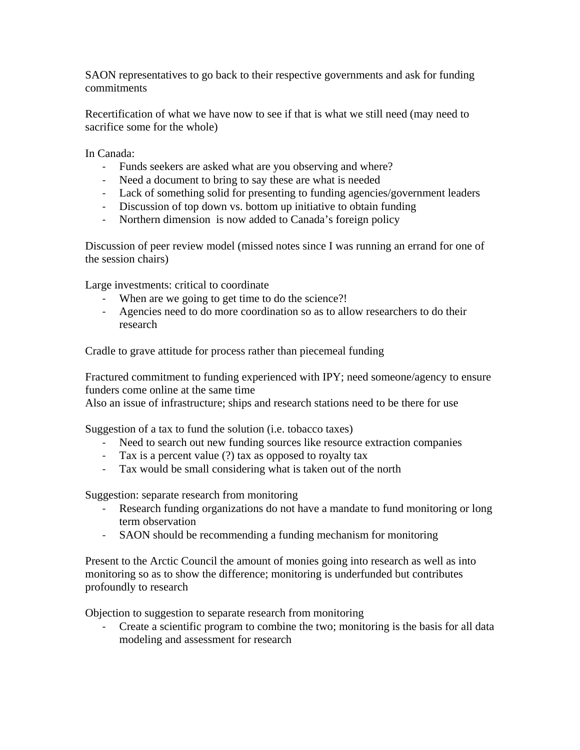SAON representatives to go back to their respective governments and ask for funding commitments

Recertification of what we have now to see if that is what we still need (may need to sacrifice some for the whole)

In Canada:

- ‐ Funds seekers are asked what are you observing and where?
- ‐ Need a document to bring to say these are what is needed
- ‐ Lack of something solid for presenting to funding agencies/government leaders
- ‐ Discussion of top down vs. bottom up initiative to obtain funding
- ‐ Northern dimension is now added to Canada's foreign policy

Discussion of peer review model (missed notes since I was running an errand for one of the session chairs)

Large investments: critical to coordinate

- ‐ When are we going to get time to do the science?!
- ‐ Agencies need to do more coordination so as to allow researchers to do their research

Cradle to grave attitude for process rather than piecemeal funding

Fractured commitment to funding experienced with IPY; need someone/agency to ensure funders come online at the same time

Also an issue of infrastructure; ships and research stations need to be there for use

Suggestion of a tax to fund the solution (i.e. tobacco taxes)

- ‐ Need to search out new funding sources like resource extraction companies
- ‐ Tax is a percent value (?) tax as opposed to royalty tax
- ‐ Tax would be small considering what is taken out of the north

Suggestion: separate research from monitoring

- ‐ Research funding organizations do not have a mandate to fund monitoring or long term observation
- ‐ SAON should be recommending a funding mechanism for monitoring

Present to the Arctic Council the amount of monies going into research as well as into monitoring so as to show the difference; monitoring is underfunded but contributes profoundly to research

Objection to suggestion to separate research from monitoring

‐ Create a scientific program to combine the two; monitoring is the basis for all data modeling and assessment for research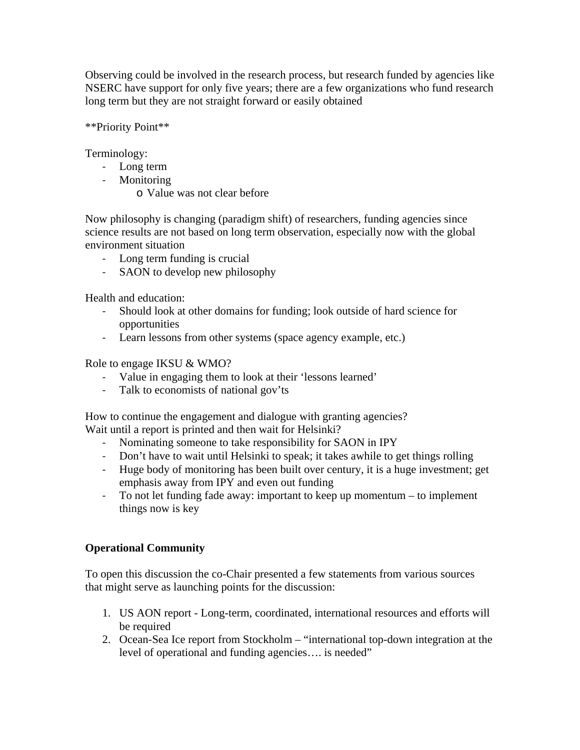Observing could be involved in the research process, but research funded by agencies like NSERC have support for only five years; there are a few organizations who fund research long term but they are not straight forward or easily obtained

\*\*Priority Point\*\*

Terminology:

- ‐ Long term
- ‐ Monitoring
	- o Value was not clear before

Now philosophy is changing (paradigm shift) of researchers, funding agencies since science results are not based on long term observation, especially now with the global environment situation

- ‐ Long term funding is crucial
- ‐ SAON to develop new philosophy

Health and education:

- ‐ Should look at other domains for funding; look outside of hard science for opportunities
- ‐ Learn lessons from other systems (space agency example, etc.)

Role to engage IKSU & WMO?

- ‐ Value in engaging them to look at their 'lessons learned'
- ‐ Talk to economists of national gov'ts

How to continue the engagement and dialogue with granting agencies? Wait until a report is printed and then wait for Helsinki?

- ‐ Nominating someone to take responsibility for SAON in IPY
- ‐ Don't have to wait until Helsinki to speak; it takes awhile to get things rolling
- ‐ Huge body of monitoring has been built over century, it is a huge investment; get emphasis away from IPY and even out funding
- ‐ To not let funding fade away: important to keep up momentum to implement things now is key

# **Operational Community**

To open this discussion the co-Chair presented a few statements from various sources that might serve as launching points for the discussion:

- 1. US AON report Long-term, coordinated, international resources and efforts will be required
- 2. Ocean-Sea Ice report from Stockholm "international top-down integration at the level of operational and funding agencies…. is needed"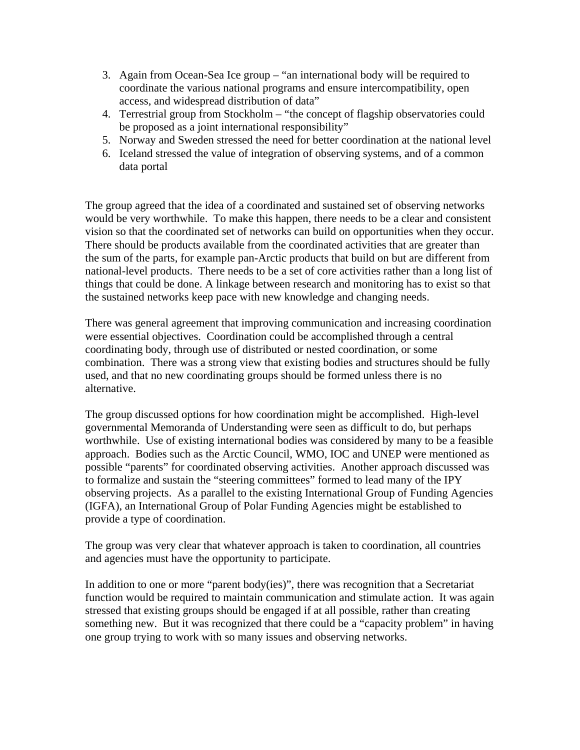- 3. Again from Ocean-Sea Ice group "an international body will be required to coordinate the various national programs and ensure intercompatibility, open access, and widespread distribution of data"
- 4. Terrestrial group from Stockholm "the concept of flagship observatories could be proposed as a joint international responsibility"
- 5. Norway and Sweden stressed the need for better coordination at the national level
- 6. Iceland stressed the value of integration of observing systems, and of a common data portal

The group agreed that the idea of a coordinated and sustained set of observing networks would be very worthwhile. To make this happen, there needs to be a clear and consistent vision so that the coordinated set of networks can build on opportunities when they occur. There should be products available from the coordinated activities that are greater than the sum of the parts, for example pan-Arctic products that build on but are different from national-level products. There needs to be a set of core activities rather than a long list of things that could be done. A linkage between research and monitoring has to exist so that the sustained networks keep pace with new knowledge and changing needs.

There was general agreement that improving communication and increasing coordination were essential objectives. Coordination could be accomplished through a central coordinating body, through use of distributed or nested coordination, or some combination. There was a strong view that existing bodies and structures should be fully used, and that no new coordinating groups should be formed unless there is no alternative.

The group discussed options for how coordination might be accomplished. High-level governmental Memoranda of Understanding were seen as difficult to do, but perhaps worthwhile. Use of existing international bodies was considered by many to be a feasible approach. Bodies such as the Arctic Council, WMO, IOC and UNEP were mentioned as possible "parents" for coordinated observing activities. Another approach discussed was to formalize and sustain the "steering committees" formed to lead many of the IPY observing projects. As a parallel to the existing International Group of Funding Agencies (IGFA), an International Group of Polar Funding Agencies might be established to provide a type of coordination.

The group was very clear that whatever approach is taken to coordination, all countries and agencies must have the opportunity to participate.

In addition to one or more "parent body(ies)", there was recognition that a Secretariat function would be required to maintain communication and stimulate action. It was again stressed that existing groups should be engaged if at all possible, rather than creating something new. But it was recognized that there could be a "capacity problem" in having one group trying to work with so many issues and observing networks.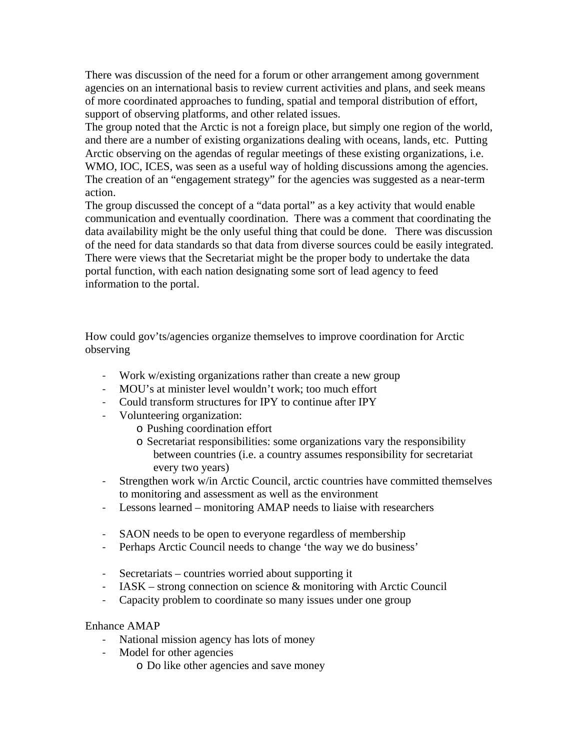There was discussion of the need for a forum or other arrangement among government agencies on an international basis to review current activities and plans, and seek means of more coordinated approaches to funding, spatial and temporal distribution of effort, support of observing platforms, and other related issues.

The group noted that the Arctic is not a foreign place, but simply one region of the world, and there are a number of existing organizations dealing with oceans, lands, etc. Putting Arctic observing on the agendas of regular meetings of these existing organizations, i.e. WMO, IOC, ICES, was seen as a useful way of holding discussions among the agencies. The creation of an "engagement strategy" for the agencies was suggested as a near-term action.

The group discussed the concept of a "data portal" as a key activity that would enable communication and eventually coordination. There was a comment that coordinating the data availability might be the only useful thing that could be done. There was discussion of the need for data standards so that data from diverse sources could be easily integrated. There were views that the Secretariat might be the proper body to undertake the data portal function, with each nation designating some sort of lead agency to feed information to the portal.

How could gov'ts/agencies organize themselves to improve coordination for Arctic observing

- ‐ Work w/existing organizations rather than create a new group
- ‐ MOU's at minister level wouldn't work; too much effort
- ‐ Could transform structures for IPY to continue after IPY
- ‐ Volunteering organization:
	- o Pushing coordination effort
	- o Secretariat responsibilities: some organizations vary the responsibility between countries (i.e. a country assumes responsibility for secretariat every two years)
- ‐ Strengthen work w/in Arctic Council, arctic countries have committed themselves to monitoring and assessment as well as the environment
- ‐ Lessons learned monitoring AMAP needs to liaise with researchers
- ‐ SAON needs to be open to everyone regardless of membership
- ‐ Perhaps Arctic Council needs to change 'the way we do business'
- ‐ Secretariats countries worried about supporting it
- IASK strong connection on science  $\&$  monitoring with Arctic Council
- ‐ Capacity problem to coordinate so many issues under one group

# Enhance AMAP

- ‐ National mission agency has lots of money
- ‐ Model for other agencies
	- o Do like other agencies and save money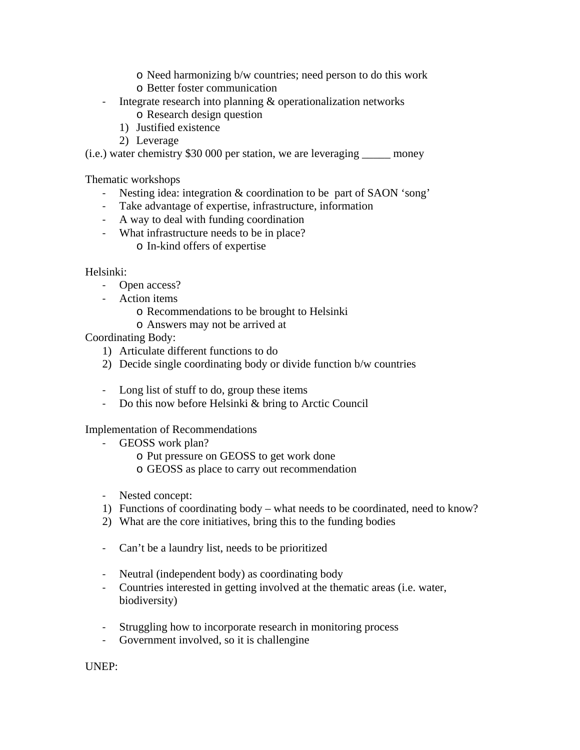- o Need harmonizing b/w countries; need person to do this work
- o Better foster communication
- ‐ Integrate research into planning & operationalization networks o Research design question
	- 1) Justified existence
	- 2) Leverage

(i.e.) water chemistry \$30 000 per station, we are leveraging \_\_\_\_\_ money

Thematic workshops

- ‐ Nesting idea: integration & coordination to be part of SAON 'song'
- ‐ Take advantage of expertise, infrastructure, information
- ‐ A way to deal with funding coordination
- ‐ What infrastructure needs to be in place? o In-kind offers of expertise

Helsinki:

- ‐ Open access?
- ‐ Action items
	- o Recommendations to be brought to Helsinki
	- o Answers may not be arrived at

Coordinating Body:

- 1) Articulate different functions to do
- 2) Decide single coordinating body or divide function b/w countries
- ‐ Long list of stuff to do, group these items
- ‐ Do this now before Helsinki & bring to Arctic Council

Implementation of Recommendations

- ‐ GEOSS work plan?
	- o Put pressure on GEOSS to get work done
	- o GEOSS as place to carry out recommendation
- ‐ Nested concept:
- 1) Functions of coordinating body what needs to be coordinated, need to know?
- 2) What are the core initiatives, bring this to the funding bodies
- ‐ Can't be a laundry list, needs to be prioritized
- ‐ Neutral (independent body) as coordinating body
- ‐ Countries interested in getting involved at the thematic areas (i.e. water, biodiversity)
- ‐ Struggling how to incorporate research in monitoring process
- ‐ Government involved, so it is challengine

UNEP: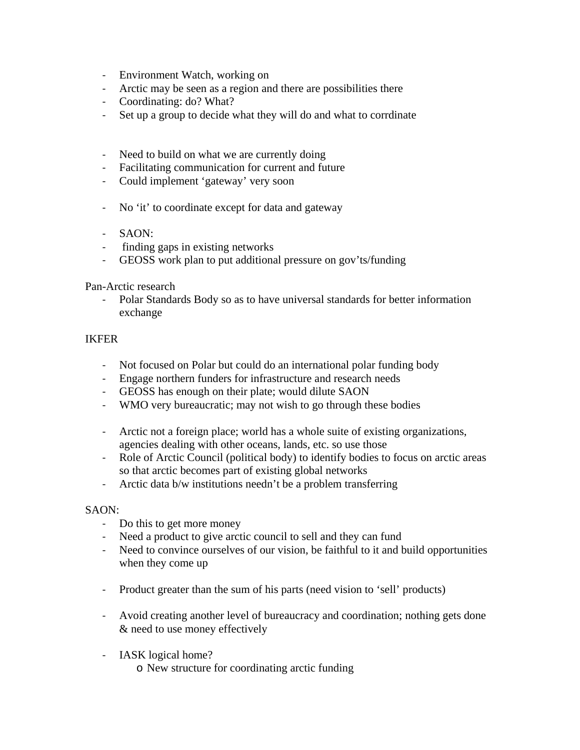- ‐ Environment Watch, working on
- ‐ Arctic may be seen as a region and there are possibilities there
- ‐ Coordinating: do? What?
- ‐ Set up a group to decide what they will do and what to corrdinate
- ‐ Need to build on what we are currently doing
- ‐ Facilitating communication for current and future
- ‐ Could implement 'gateway' very soon
- ‐ No 'it' to coordinate except for data and gateway
- ‐ SAON:
- ‐ finding gaps in existing networks
- ‐ GEOSS work plan to put additional pressure on gov'ts/funding

#### Pan-Arctic research

‐ Polar Standards Body so as to have universal standards for better information exchange

## IKFER

- ‐ Not focused on Polar but could do an international polar funding body
- ‐ Engage northern funders for infrastructure and research needs
- ‐ GEOSS has enough on their plate; would dilute SAON
- ‐ WMO very bureaucratic; may not wish to go through these bodies
- ‐ Arctic not a foreign place; world has a whole suite of existing organizations, agencies dealing with other oceans, lands, etc. so use those
- ‐ Role of Arctic Council (political body) to identify bodies to focus on arctic areas so that arctic becomes part of existing global networks
- ‐ Arctic data b/w institutions needn't be a problem transferring

#### SAON:

- ‐ Do this to get more money
- ‐ Need a product to give arctic council to sell and they can fund
- ‐ Need to convince ourselves of our vision, be faithful to it and build opportunities when they come up
- ‐ Product greater than the sum of his parts (need vision to 'sell' products)
- ‐ Avoid creating another level of bureaucracy and coordination; nothing gets done & need to use money effectively
- ‐ IASK logical home?
	- o New structure for coordinating arctic funding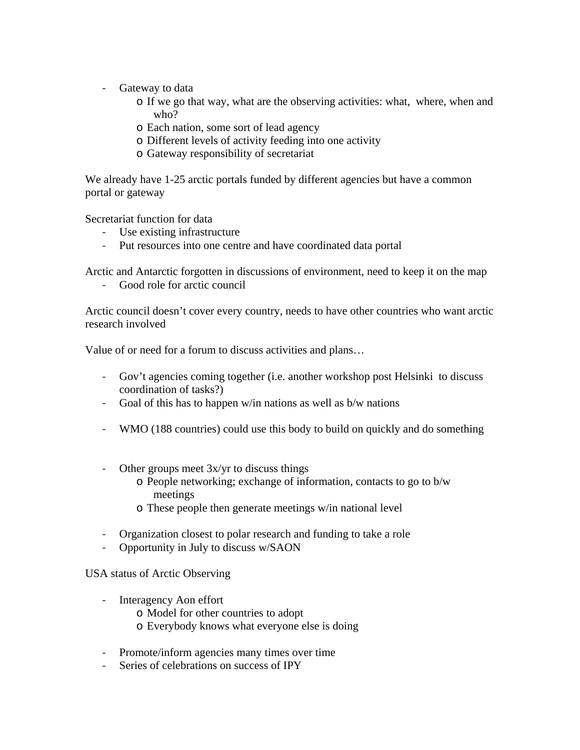- ‐ Gateway to data
	- o If we go that way, what are the observing activities: what, where, when and who?
	- o Each nation, some sort of lead agency
	- o Different levels of activity feeding into one activity
	- o Gateway responsibility of secretariat

We already have 1-25 arctic portals funded by different agencies but have a common portal or gateway

Secretariat function for data

- ‐ Use existing infrastructure
- ‐ Put resources into one centre and have coordinated data portal

Arctic and Antarctic forgotten in discussions of environment, need to keep it on the map

‐ Good role for arctic council

Arctic council doesn't cover every country, needs to have other countries who want arctic research involved

Value of or need for a forum to discuss activities and plans…

- ‐ Gov't agencies coming together (i.e. another workshop post Helsinki to discuss coordination of tasks?)
- ‐ Goal of this has to happen w/in nations as well as b/w nations
- ‐ WMO (188 countries) could use this body to build on quickly and do something
- ‐ Other groups meet 3x/yr to discuss things
	- o People networking; exchange of information, contacts to go to b/w meetings
	- o These people then generate meetings w/in national level
- ‐ Organization closest to polar research and funding to take a role
- ‐ Opportunity in July to discuss w/SAON

USA status of Arctic Observing

- ‐ Interagency Aon effort
	- o Model for other countries to adopt
	- o Everybody knows what everyone else is doing
- ‐ Promote/inform agencies many times over time
- ‐ Series of celebrations on success of IPY